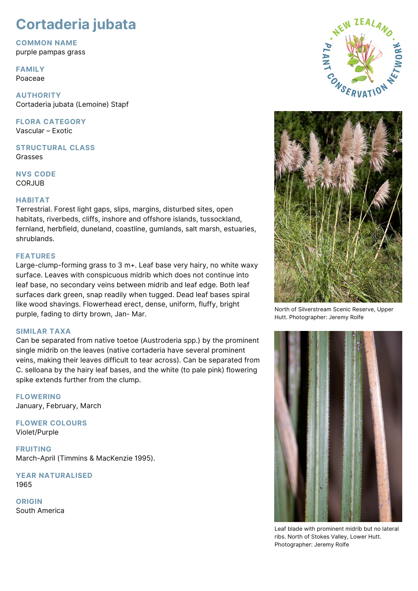# **Cortaderia jubata**

**COMMON NAME**

purple pampas grass

**FAMILY** Poaceae

**AUTHORITY** Cortaderia jubata (Lemoine) Stapf

**FLORA CATEGORY** Vascular – Exotic

**STRUCTURAL CLASS** Grasses

**NVS CODE** CORJUB

## **HABITAT**

Terrestrial. Forest light gaps, slips, margins, disturbed sites, open habitats, riverbeds, cliffs, inshore and offshore islands, tussockland, fernland, herbfield, duneland, coastline, gumlands, salt marsh, estuaries, shrublands.

### **FEATURES**

Large-clump-forming grass to 3 m+. Leaf base very hairy, no white waxy surface. Leaves with conspicuous midrib which does not continue into leaf base, no secondary veins between midrib and leaf edge. Both leaf surfaces dark green, snap readily when tugged. Dead leaf bases spiral like wood shavings. Flowerhead erect, dense, uniform, fluffy, bright purple, fading to dirty brown, Jan- Mar.

## **SIMILAR TAXA**

Can be separated from native toetoe (Austroderia spp.) by the prominent single midrib on the leaves (native cortaderia have several prominent veins, making their leaves difficult to tear across). Can be separated from C. selloana by the hairy leaf bases, and the white (to pale pink) flowering spike extends further from the clump.

**FLOWERING** January, February, March

**FLOWER COLOURS** Violet/Purple

**FRUITING** March-April (Timmins & MacKenzie 1995).

**YEAR NATURALISED** 1965

**ORIGIN** South America





North of Silverstream Scenic Reserve, Upper Hutt. Photographer: Jeremy Rolfe



Leaf blade with prominent midrib but no lateral ribs. North of Stokes Valley, Lower Hutt. Photographer: Jeremy Rolfe